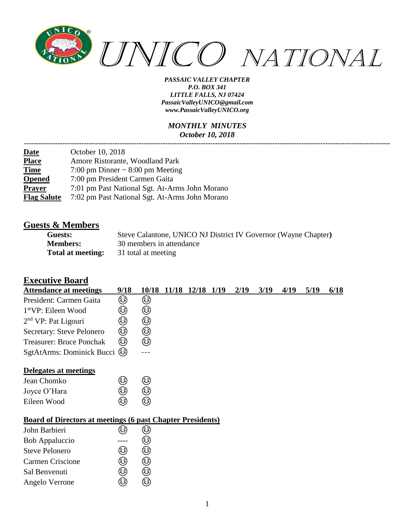

#### *MONTHLY MINUTES October 10, 2018*

| October 10, 2018                               |
|------------------------------------------------|
| Amore Ristorante, Woodland Park                |
| 7:00 pm Dinner $\sim$ 8:00 pm Meeting          |
| 7:00 pm President Carmen Gaita                 |
| 7:01 pm Past National Sgt. At-Arms John Morano |
| 7:02 pm Past National Sgt. At-Arms John Morano |
|                                                |

## **Guests & Members**

| Guests:           | Steve Calantone, UNICO NJ District IV Governor (Wayne Chapter) |
|-------------------|----------------------------------------------------------------|
| <b>Members:</b>   | 30 members in attendance                                       |
| Total at meeting: | 31 total at meeting                                            |

#### **Executive Board**

| <b>Attendance at meetings</b>                                     | 9/18 | 10/18 | 11/18 12/18 1/19 | 2/19 | 3/19 | 4/19 | 5/19 | 6/18 |
|-------------------------------------------------------------------|------|-------|------------------|------|------|------|------|------|
| President: Carmen Gaita                                           | ☺    | ☺     |                  |      |      |      |      |      |
| 1 <sup>st</sup> VP: Eileen Wood                                   | ٨    | ☺     |                  |      |      |      |      |      |
| $2nd$ VP: Pat Ligouri                                             | ٨    | ☺     |                  |      |      |      |      |      |
| Secretary: Steve Pelonero                                         | ☺    | ☺     |                  |      |      |      |      |      |
| <b>Treasurer: Bruce Ponchak</b>                                   | ☺    | ☺     |                  |      |      |      |      |      |
| SgtAtArms: Dominick Bucci @                                       |      |       |                  |      |      |      |      |      |
| Delegates at meetings                                             |      |       |                  |      |      |      |      |      |
| Jean Chomko                                                       | ٨    | ☺     |                  |      |      |      |      |      |
| Joyce O'Hara                                                      | ☺    | ☺     |                  |      |      |      |      |      |
| Eileen Wood                                                       | ☺    | ٨     |                  |      |      |      |      |      |
| <b>Board of Directors at meetings (6 past Chapter Presidents)</b> |      |       |                  |      |      |      |      |      |
| John Barbieri                                                     | کا   | ٨     |                  |      |      |      |      |      |
| <b>Bob Appaluccio</b>                                             |      | ک     |                  |      |      |      |      |      |
| <b>Steve Pelonero</b>                                             | ☺    | ☺     |                  |      |      |      |      |      |
| <b>Carmen Criscione</b>                                           | ☺    | ٨     |                  |      |      |      |      |      |
| Sal Benvenuti                                                     | ☺    | ☺     |                  |      |      |      |      |      |
| Angelo Verrone                                                    | ☺    | ଛ     |                  |      |      |      |      |      |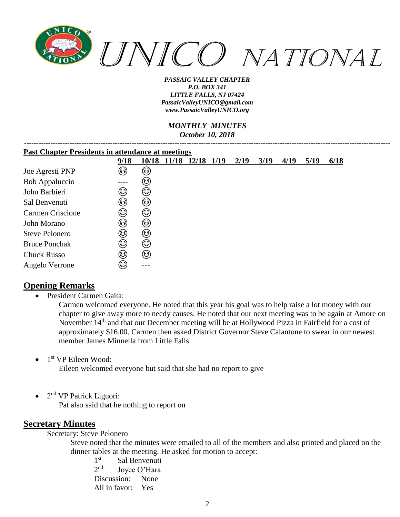

#### *MONTHLY MINUTES October 10, 2018*

*---------------------------------------------------------------------------------------------------------------------------------------------------------*

| <b>Past Chapter Presidents in attendance at meetings</b> |        |       |  |             |      |      |      |      |      |      |
|----------------------------------------------------------|--------|-------|--|-------------|------|------|------|------|------|------|
|                                                          | 9/18   | 10/18 |  | 11/18 12/18 | 1/19 | 2/19 | 3/19 | 4/19 | 5/19 | 6/18 |
| Joe Agresti PNP                                          | ٨      | کی    |  |             |      |      |      |      |      |      |
| <b>Bob Appaluccio</b>                                    | ----   | هٔ)   |  |             |      |      |      |      |      |      |
| John Barbieri                                            | ٨      | ٨     |  |             |      |      |      |      |      |      |
| Sal Benvenuti                                            | (هَءَ) | ٨     |  |             |      |      |      |      |      |      |
| Carmen Criscione                                         | کی     | ٨     |  |             |      |      |      |      |      |      |
| John Morano                                              | ☺      | ٨     |  |             |      |      |      |      |      |      |
| <b>Steve Pelonero</b>                                    | ٨      | ٨     |  |             |      |      |      |      |      |      |
| <b>Bruce Ponchak</b>                                     | ٨      | ٨     |  |             |      |      |      |      |      |      |
| <b>Chuck Russo</b>                                       | ٨      | ٨     |  |             |      |      |      |      |      |      |
| Angelo Verrone                                           | ٨      |       |  |             |      |      |      |      |      |      |

## **Opening Remarks**

• President Carmen Gaita:

Carmen welcomed everyone. He noted that this year his goal was to help raise a lot money with our chapter to give away more to needy causes. He noted that our next meeting was to be again at Amore on November 14<sup>th</sup> and that our December meeting will be at Hollywood Pizza in Fairfield for a cost of approximately \$16.00. Carmen then asked District Governor Steve Calantone to swear in our newest member James Minnella from Little Falls

• 1<sup>st</sup> VP Eileen Wood:

Eileen welcomed everyone but said that she had no report to give

 $\bullet$  2<sup>nd</sup> VP Patrick Liguori:

Pat also said that he nothing to report on

## **Secretary Minutes**

Secretary: Steve Pelonero

Steve noted that the minutes were emailed to all of the members and also printed and placed on the dinner tables at the meeting. He asked for motion to accept:

 $1<sup>st</sup>$ Sal Benvenuti  $2<sub>nd</sub>$ Joyce O'Hara Discussion: None All in favor: Yes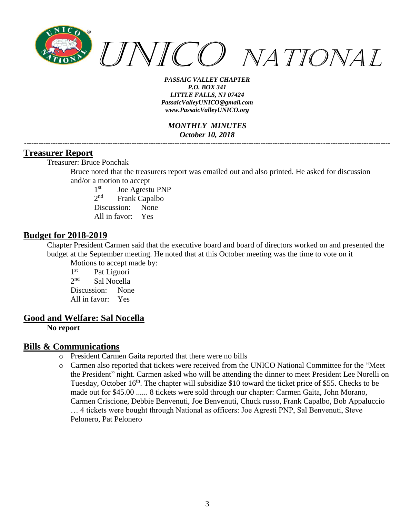

*MONTHLY MINUTES October 10, 2018 ---------------------------------------------------------------------------------------------------------------------------------------------------------*

#### **Treasurer Report**

Treasurer: Bruce Ponchak

Bruce noted that the treasurers report was emailed out and also printed. He asked for discussion and/or a motion to accept

 $1<sup>st</sup>$ Joe Agrestu PNP  $2<sub>nd</sub>$ Frank Capalbo Discussion: None All in favor: Yes

#### **Budget for 2018-2019**

Chapter President Carmen said that the executive board and board of directors worked on and presented the budget at the September meeting. He noted that at this October meeting was the time to vote on it Motions to accept made by:

 $1<sup>st</sup>$ Pat Liguori  $2<sub>nd</sub>$ Sal Nocella Discussion: None All in favor: Yes

#### **Good and Welfare: Sal Nocella**

**No report**

#### **Bills & Communications**

- o President Carmen Gaita reported that there were no bills
- o Carmen also reported that tickets were received from the UNICO National Committee for the "Meet the President" night. Carmen asked who will be attending the dinner to meet President Lee Norelli on Tuesday, October  $16<sup>th</sup>$ . The chapter will subsidize \$10 toward the ticket price of \$55. Checks to be made out for \$45.00 ...... 8 tickets were sold through our chapter: Carmen Gaita, John Morano, Carmen Criscione, Debbie Benvenuti, Joe Benvenuti, Chuck russo, Frank Capalbo, Bob Appaluccio … 4 tickets were bought through National as officers: Joe Agresti PNP, Sal Benvenuti, Steve Pelonero, Pat Pelonero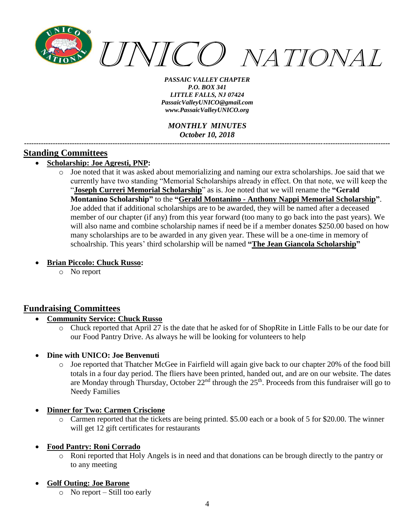

*MONTHLY MINUTES October 10, 2018*

*---------------------------------------------------------------------------------------------------------------------------------------------------------*

## **Standing Committees**

## • **Scholarship: Joe Agresti, PNP:**

o Joe noted that it was asked about memorializing and naming our extra scholarships. Joe said that we currently have two standing "Memorial Scholarships already in effect. On that note, we will keep the "**Joseph Curreri Memorial Scholarship**" as is. Joe noted that we will rename the **"Gerald Montanino Scholarship"** to the **"Gerald Montanino - Anthony Nappi Memorial Scholarship"**. Joe added that if additional scholarships are to be awarded, they will be named after a deceased member of our chapter (if any) from this year forward (too many to go back into the past years). We will also name and combine scholarship names if need be if a member donates \$250.00 based on how many scholarships are to be awarded in any given year. These will be a one-time in memory of schoalrship. This years' third scholarship will be named **"The Jean Giancola Scholarship"**

#### • **Brian Piccolo: Chuck Russo:**

o No report

## **Fundraising Committees**

- **Community Service: Chuck Russo**
	- o Chuck reported that April 27 is the date that he asked for of ShopRite in Little Falls to be our date for our Food Pantry Drive. As always he will be looking for volunteers to help
- **Dine with UNICO: Joe Benvenuti**
	- o Joe reported that Thatcher McGee in Fairfield will again give back to our chapter 20% of the food bill totals in a four day period. The fliers have been printed, handed out, and are on our website. The dates are Monday through Thursday, October  $22<sup>nd</sup>$  through the  $25<sup>th</sup>$ . Proceeds from this fundraiser will go to Needy Families
- **Dinner for Two: Carmen Criscione** 
	- o Carmen reported that the tickets are being printed. \$5.00 each or a book of 5 for \$20.00. The winner will get 12 gift certificates for restaurants

#### • **Food Pantry: Roni Corrado**

o Roni reported that Holy Angels is in need and that donations can be brough directly to the pantry or to any meeting

#### • **Golf Outing: Joe Barone**

o No report – Still too early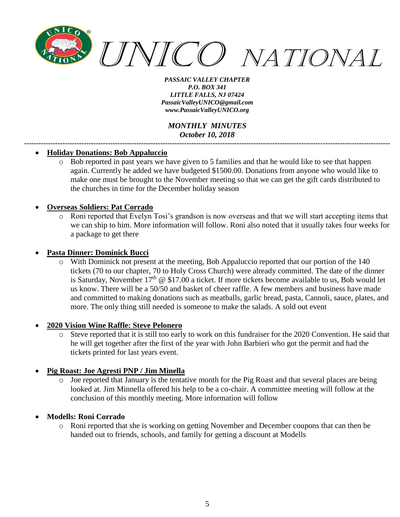

#### *MONTHLY MINUTES October 10, 2018 ---------------------------------------------------------------------------------------------------------------------------------------------------------*

#### • **Holiday Donations: Bob Appaluccio**

o Bob reported in past years we have given to 5 families and that he would like to see that happen again. Currently he added we have budgeted \$1500.00. Donations from anyone who would like to make one must be brought to the November meeting so that we can get the gift cards distributed to the churches in time for the December holiday season

#### • **Overseas Soldiers: Pat Corrado**

o Roni reported that Evelyn Tosi's grandson is now overseas and that we will start accepting items that we can ship to him. More information will follow. Roni also noted that it usually takes four weeks for a package to get there

#### • **Pasta Dinner: Dominick Bucci**

o With Dominick not present at the meeting, Bob Appaluccio reported that our portion of the 140 tickets (70 to our chapter, 70 to Holy Cross Church) were already committed. The date of the dinner is Saturday, November  $17<sup>th</sup>$  @ \$17.00 a ticket. If more tickets become available to us, Bob would let us know. There will be a 50/50 and basket of cheer raffle. A few members and business have made and committed to making donations such as meatballs, garlic bread, pasta, Cannoli, sauce, plates, and more. The only thing still needed is someone to make the salads. A sold out event

#### • **2020 Vision Wine Raffle: Steve Pelonero**

o Steve reported that it is still too early to work on this fundraiser for the 2020 Convention. He said that he will get together after the first of the year with John Barbieri who got the permit and had the tickets printed for last years event.

#### • **Pig Roast: Joe Agresti PNP / Jim Minella**

o Joe reported that January is the tentative month for the Pig Roast and that several places are being looked at. Jim Minnella offered his help to be a co-chair. A committee meeting will follow at the conclusion of this monthly meeting. More information will follow

#### • **Modells: Roni Corrado**

o Roni reported that she is working on getting November and December coupons that can then be handed out to friends, schools, and family for getting a discount at Modells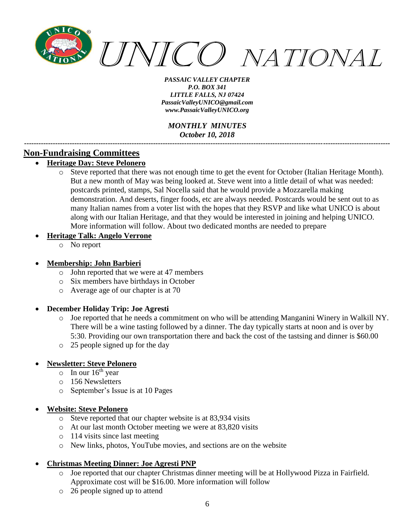

*MONTHLY MINUTES October 10, 2018*

*---------------------------------------------------------------------------------------------------------------------------------------------------------*

## **Non-Fundraising Committees**

- **Heritage Day: Steve Pelonero**
	- o Steve reported that there was not enough time to get the event for October (Italian Heritage Month). But a new month of May was being looked at. Steve went into a little detail of what was needed: postcards printed, stamps, Sal Nocella said that he would provide a Mozzarella making demonstration. And deserts, finger foods, etc are always needed. Postcards would be sent out to as many Italian names from a voter list with the hopes that they RSVP and like what UNICO is about along with our Italian Heritage, and that they would be interested in joining and helping UNICO. More information will follow. About two dedicated months are needed to prepare

#### • **Heritage Talk: Angelo Verrone**

o No report

#### • **Membership: John Barbieri**

- o John reported that we were at 47 members
- o Six members have birthdays in October
- o Average age of our chapter is at 70
- **December Holiday Trip: Joe Agresti**
	- o Joe reported that he needs a commitment on who will be attending Manganini Winery in Walkill NY. There will be a wine tasting followed by a dinner. The day typically starts at noon and is over by 5:30. Providing our own transportation there and back the cost of the tastsing and dinner is \$60.00
	- o 25 people signed up for the day

#### • **Newsletter: Steve Pelonero**

- $\circ$  In our 16<sup>th</sup> year
- o 156 Newsletters
- o September's Issue is at 10 Pages

#### • **Website: Steve Pelonero**

- o Steve reported that our chapter website is at 83,934 visits
- o At our last month October meeting we were at 83,820 visits
- o 114 visits since last meeting
- o New links, photos, YouTube movies, and sections are on the website

#### • **Christmas Meeting Dinner: Joe Agresti PNP**

- o Joe reported that our chapter Christmas dinner meeting will be at Hollywood Pizza in Fairfield. Approximate cost will be \$16.00. More information will follow
- o 26 people signed up to attend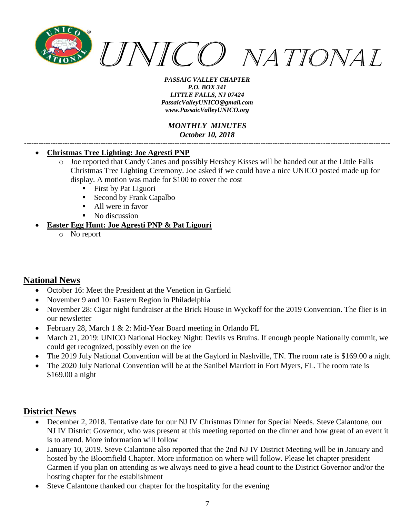

*MONTHLY MINUTES October 10, 2018 ---------------------------------------------------------------------------------------------------------------------------------------------------------*

#### • **Christmas Tree Lighting: Joe Agresti PNP**

- o Joe reported that Candy Canes and possibly Hershey Kisses will be handed out at the Little Falls Christmas Tree Lighting Ceremony. Joe asked if we could have a nice UNICO posted made up for display. A motion was made for \$100 to cover the cost
	- First by Pat Liguori
	- Second by Frank Capalbo
	- All were in favor
	- No discussion

#### • **Easter Egg Hunt: Joe Agresti PNP & Pat Ligouri**

o No report

## **National News**

- October 16: Meet the President at the Venetion in Garfield
- November 9 and 10: Eastern Region in Philadelphia
- November 28: Cigar night fundraiser at the Brick House in Wyckoff for the 2019 Convention. The flier is in our newsletter
- February 28, March 1 & 2: Mid-Year Board meeting in Orlando FL
- March 21, 2019: UNICO National Hockey Night: Devils vs Bruins. If enough people Nationally commit, we could get recognized, possibly even on the ice
- The 2019 July National Convention will be at the Gaylord in Nashville, TN. The room rate is \$169.00 a night
- The 2020 July National Convention will be at the Sanibel Marriott in Fort Myers, FL. The room rate is \$169.00 a night

## **District News**

- December 2, 2018. Tentative date for our NJ IV Christmas Dinner for Special Needs. Steve Calantone, our NJ IV District Governor, who was present at this meeting reported on the dinner and how great of an event it is to attend. More information will follow
- January 10, 2019. Steve Calantone also reported that the 2nd NJ IV District Meeting will be in January and hosted by the Bloomfield Chapter. More information on where will follow. Please let chapter president Carmen if you plan on attending as we always need to give a head count to the District Governor and/or the hosting chapter for the establishment
- Steve Calantone thanked our chapter for the hospitality for the evening